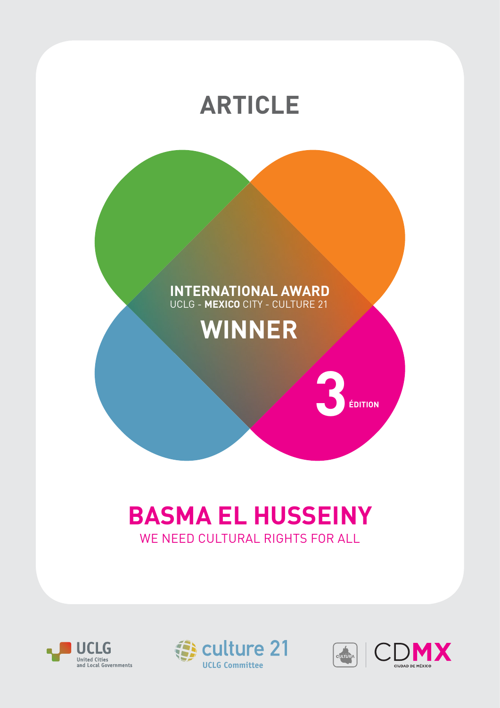

# **BASMA EL HUSSEINY** WE NEED CULTURAL RIGHTS FOR ALL





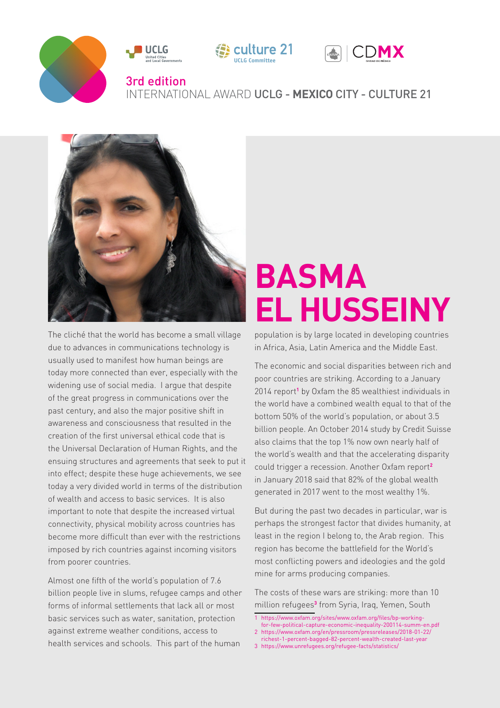



The cliché that the world has become a small village due to advances in communications technology is usually used to manifest how human beings are today more connected than ever, especially with the widening use of social media. I argue that despite of the great progress in communications over the past century, and also the major positive shift in awareness and consciousness that resulted in the creation of the first universal ethical code that is the Universal Declaration of Human Rights, and the ensuing structures and agreements that seek to put it into effect; despite these huge achievements, we see today a very divided world in terms of the distribution of wealth and access to basic services. It is also important to note that despite the increased virtual connectivity, physical mobility across countries has become more difficult than ever with the restrictions imposed by rich countries against incoming visitors from poorer countries.

Almost one fifth of the world's population of 7.6 billion people live in slums, refugee camps and other forms of informal settlements that lack all or most basic services such as water, sanitation, protection against extreme weather conditions, access to health services and schools. This part of the human

# **BASMA EL HUSSEINY**

population is by large located in developing countries in Africa, Asia, Latin America and the Middle East.

The economic and social disparities between rich and poor countries are striking. According to a January 2014 report**<sup>1</sup>** by Oxfam the 85 wealthiest individuals in the world have a combined wealth equal to that of the bottom 50% of the world's population, or about 3.5 billion people. An October 2014 study by Credit Suisse also claims that the top 1% now own nearly half of the world's wealth and that the accelerating disparity could trigger a recession. Another Oxfam report**<sup>2</sup>** in January 2018 said that 82% of the global wealth generated in 2017 went to the most wealthy 1%.

But during the past two decades in particular, war is perhaps the strongest factor that divides humanity, at least in the region I belong to, the Arab region. This region has become the battlefield for the World's most conflicting powers and ideologies and the gold mine for arms producing companies.

The costs of these wars are striking: more than 10 million refugees**<sup>3</sup>** from Syria, Iraq, Yemen, South

- 1 https://www.oxfam.org/sites/www.oxfam.org/files/bp-workingfor-few-political-capture-economic-inequality-200114-summ-en.pdf
- 2 https://www.oxfam.org/en/pressroom/pressreleases/2018-01-22/ richest-1-percent-bagged-82-percent-wealth-created-last-year
- 3 https://www.unrefugees.org/refugee-facts/statistics/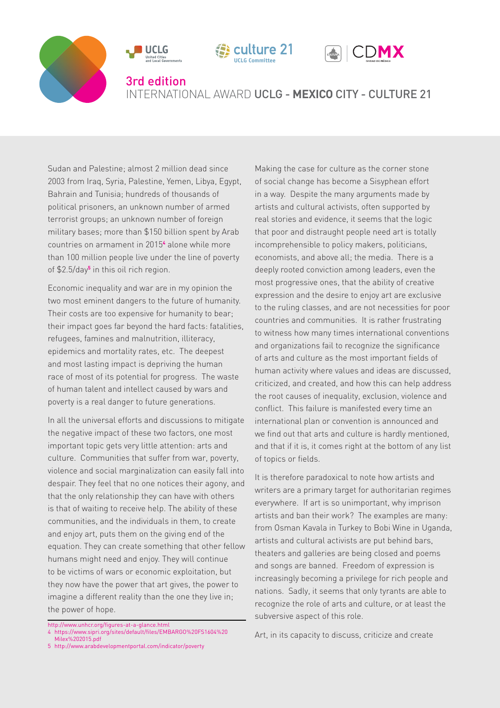







#### 3rd edition

## INTERNATIONAL AWARD UCLG - **MEXICO** CITY - CULTURE 21

Sudan and Palestine; almost 2 million dead since 2003 from Iraq, Syria, Palestine, Yemen, Libya, Egypt, Bahrain and Tunisia; hundreds of thousands of political prisoners, an unknown number of armed terrorist groups; an unknown number of foreign military bases; more than \$150 billion spent by Arab countries on armament in 2015**<sup>4</sup>** alone while more than 100 million people live under the line of poverty of \$2.5/day**<sup>5</sup>** in this oil rich region.

Economic inequality and war are in my opinion the two most eminent dangers to the future of humanity. Their costs are too expensive for humanity to bear; their impact goes far beyond the hard facts: fatalities, refugees, famines and malnutrition, illiteracy, epidemics and mortality rates, etc. The deepest and most lasting impact is depriving the human race of most of its potential for progress. The waste of human talent and intellect caused by wars and poverty is a real danger to future generations.

In all the universal efforts and discussions to mitigate the negative impact of these two factors, one most important topic gets very little attention: arts and culture. Communities that suffer from war, poverty, violence and social marginalization can easily fall into despair. They feel that no one notices their agony, and that the only relationship they can have with others is that of waiting to receive help. The ability of these communities, and the individuals in them, to create and enjoy art, puts them on the giving end of the equation. They can create something that other fellow humans might need and enjoy. They will continue to be victims of wars or economic exploitation, but they now have the power that art gives, the power to imagine a different reality than the one they live in; the power of hope.

- 4 https://www.sipri.org/sites/default/files/EMBARGO%20FS1604%20 Milex%202015.pdf
- 5 http://www.arabdevelopmentportal.com/indicator/poverty

Making the case for culture as the corner stone of social change has become a Sisyphean effort in a way. Despite the many arguments made by artists and cultural activists, often supported by real stories and evidence, it seems that the logic that poor and distraught people need art is totally incomprehensible to policy makers, politicians, economists, and above all; the media. There is a deeply rooted conviction among leaders, even the most progressive ones, that the ability of creative expression and the desire to enjoy art are exclusive to the ruling classes, and are not necessities for poor countries and communities. It is rather frustrating to witness how many times international conventions and organizations fail to recognize the significance of arts and culture as the most important fields of human activity where values and ideas are discussed, criticized, and created, and how this can help address the root causes of inequality, exclusion, violence and conflict. This failure is manifested every time an international plan or convention is announced and we find out that arts and culture is hardly mentioned, and that if it is, it comes right at the bottom of any list of topics or fields.

It is therefore paradoxical to note how artists and writers are a primary target for authoritarian regimes everywhere. If art is so unimportant, why imprison artists and ban their work? The examples are many: from Osman Kavala in Turkey to Bobi Wine in Uganda, artists and cultural activists are put behind bars, theaters and galleries are being closed and poems and songs are banned. Freedom of expression is increasingly becoming a privilege for rich people and nations. Sadly, it seems that only tyrants are able to recognize the role of arts and culture, or at least the subversive aspect of this role.

Art, in its capacity to discuss, criticize and create

http://www.unhcr.org/figures-at-a-glance.html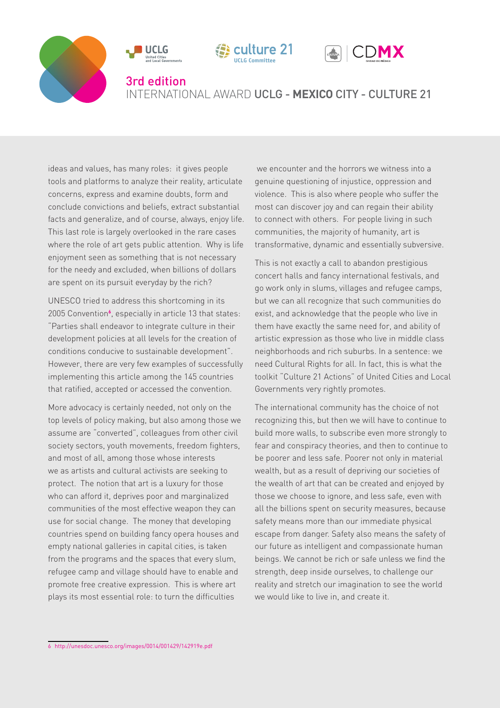







#### 3rd edition

### INTERNATIONAL AWARD UCLG - **MEXICO** CITY - CULTURE 21

ideas and values, has many roles: it gives people tools and platforms to analyze their reality, articulate concerns, express and examine doubts, form and conclude convictions and beliefs, extract substantial facts and generalize, and of course, always, enjoy life. This last role is largely overlooked in the rare cases where the role of art gets public attention. Why is life enjoyment seen as something that is not necessary for the needy and excluded, when billions of dollars are spent on its pursuit everyday by the rich?

UNESCO tried to address this shortcoming in its 2005 Convention**<sup>6</sup>** , especially in article 13 that states: "Parties shall endeavor to integrate culture in their development policies at all levels for the creation of conditions conducive to sustainable development". However, there are very few examples of successfully implementing this article among the 145 countries that ratified, accepted or accessed the convention.

More advocacy is certainly needed, not only on the top levels of policy making, but also among those we assume are "converted", colleagues from other civil society sectors, youth movements, freedom fighters, and most of all, among those whose interests we as artists and cultural activists are seeking to protect. The notion that art is a luxury for those who can afford it, deprives poor and marginalized communities of the most effective weapon they can use for social change. The money that developing countries spend on building fancy opera houses and empty national galleries in capital cities, is taken from the programs and the spaces that every slum, refugee camp and village should have to enable and promote free creative expression. This is where art plays its most essential role: to turn the difficulties

 we encounter and the horrors we witness into a genuine questioning of injustice, oppression and violence. This is also where people who suffer the most can discover joy and can regain their ability to connect with others. For people living in such communities, the majority of humanity, art is transformative, dynamic and essentially subversive.

This is not exactly a call to abandon prestigious concert halls and fancy international festivals, and go work only in slums, villages and refugee camps, but we can all recognize that such communities do exist, and acknowledge that the people who live in them have exactly the same need for, and ability of artistic expression as those who live in middle class neighborhoods and rich suburbs. In a sentence: we need Cultural Rights for all. In fact, this is what the toolkit "Culture 21 Actions" of United Cities and Local Governments very rightly promotes.

The international community has the choice of not recognizing this, but then we will have to continue to build more walls, to subscribe even more strongly to fear and conspiracy theories, and then to continue to be poorer and less safe. Poorer not only in material wealth, but as a result of depriving our societies of the wealth of art that can be created and enjoyed by those we choose to ignore, and less safe, even with all the billions spent on security measures, because safety means more than our immediate physical escape from danger. Safety also means the safety of our future as intelligent and compassionate human beings. We cannot be rich or safe unless we find the strength, deep inside ourselves, to challenge our reality and stretch our imagination to see the world we would like to live in, and create it.

<sup>6</sup> http://unesdoc.unesco.org/images/0014/001429/142919e.pdf